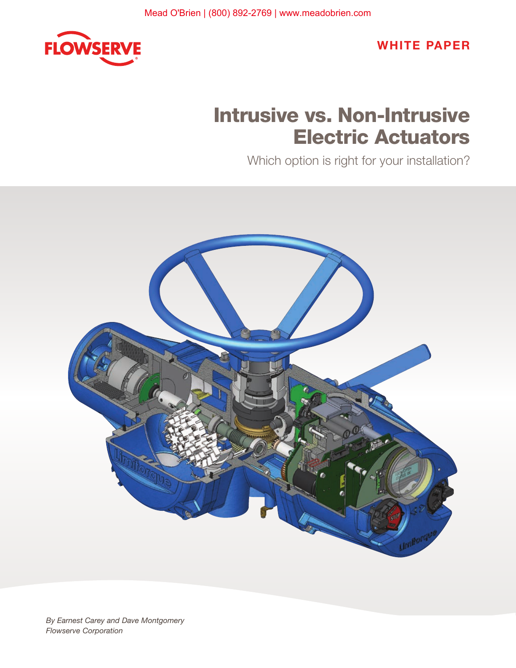

WHITE PAPER

# Intrusive vs. Non-Intrusive Electric Actuators

Which option is right for your installation?

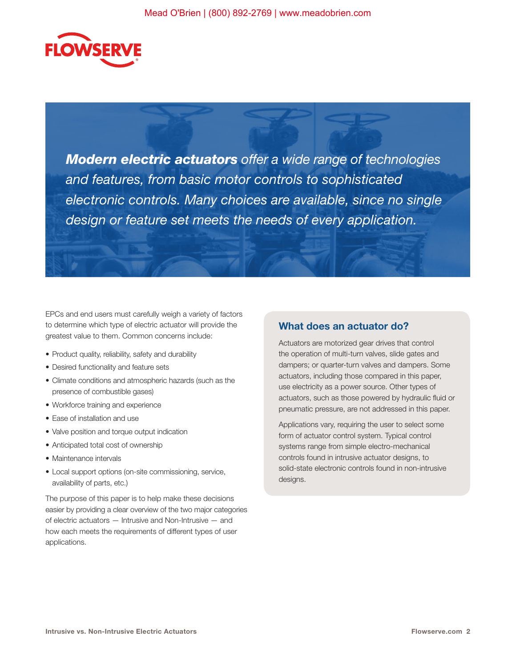

*Modern electric actuators offer a wide range of technologies and features, from basic motor controls to sophisticated electronic controls. Many choices are available, since no single design or feature set meets the needs of every application.* 

EPCs and end users must carefully weigh a variety of factors to determine which type of electric actuator will provide the greatest value to them. Common concerns include:

- Product quality, reliability, safety and durability
- Desired functionality and feature sets
- Climate conditions and atmospheric hazards (such as the presence of combustible gases)
- Workforce training and experience
- Ease of installation and use
- Valve position and torque output indication
- Anticipated total cost of ownership
- Maintenance intervals
- Local support options (on-site commissioning, service, availability of parts, etc.)

The purpose of this paper is to help make these decisions easier by providing a clear overview of the two major categories of electric actuators — Intrusive and Non-Intrusive — and how each meets the requirements of different types of user applications.

#### What does an actuator do?

Actuators are motorized gear drives that control the operation of multi-turn valves, slide gates and dampers; or quarter-turn valves and dampers. Some actuators, including those compared in this paper, use electricity as a power source. Other types of actuators, such as those powered by hydraulic fluid or pneumatic pressure, are not addressed in this paper.

Applications vary, requiring the user to select some form of actuator control system. Typical control systems range from simple electro-mechanical controls found in intrusive actuator designs, to solid-state electronic controls found in non-intrusive designs.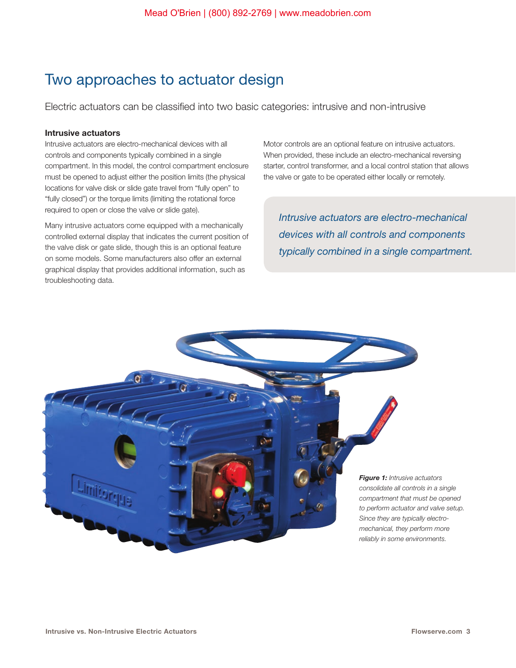## Two approaches to actuator design

Electric actuators can be classified into two basic categories: intrusive and non-intrusive

#### Intrusive actuators

Intrusive actuators are electro-mechanical devices with all controls and components typically combined in a single compartment. In this model, the control compartment enclosure must be opened to adjust either the position limits (the physical locations for valve disk or slide gate travel from "fully open" to "fully closed") or the torque limits (limiting the rotational force required to open or close the valve or slide gate).

Many intrusive actuators come equipped with a mechanically controlled external display that indicates the current position of the valve disk or gate slide, though this is an optional feature on some models. Some manufacturers also offer an external graphical display that provides additional information, such as troubleshooting data.

Motor controls are an optional feature on intrusive actuators. When provided, these include an electro-mechanical reversing starter, control transformer, and a local control station that allows the valve or gate to be operated either locally or remotely.

*Intrusive actuators are electro-mechanical devices with all controls and components typically combined in a single compartment.*

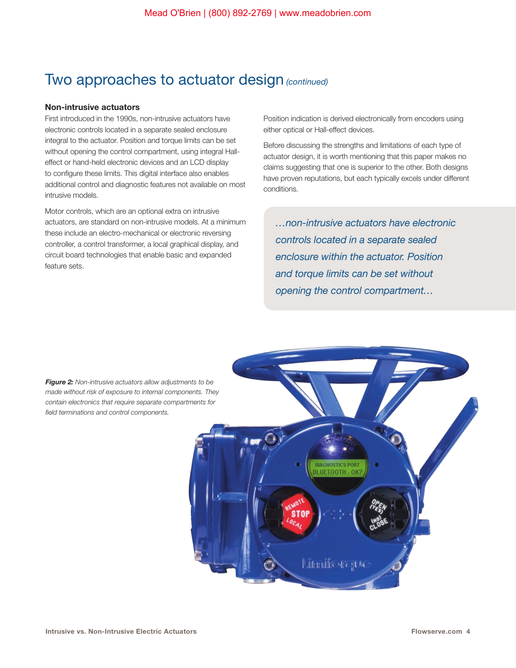### Two approaches to actuator design *(continued)*

#### Non-intrusive actuators

First introduced in the 1990s, non-intrusive actuators have electronic controls located in a separate sealed enclosure integral to the actuator. Position and torque limits can be set without opening the control compartment, using integral Halleffect or hand-held electronic devices and an LCD display to configure these limits. This digital interface also enables additional control and diagnostic features not available on most intrusive models.

Motor controls, which are an optional extra on intrusive actuators, are standard on non-intrusive models. At a minimum these include an electro-mechanical or electronic reversing controller, a control transformer, a local graphical display, and circuit board technologies that enable basic and expanded feature sets.

Position indication is derived electronically from encoders using either optical or Hall-effect devices.

Before discussing the strengths and limitations of each type of actuator design, it is worth mentioning that this paper makes no claims suggesting that one is superior to the other. Both designs have proven reputations, but each typically excels under different conditions.

*…non-intrusive actuators have electronic controls located in a separate sealed enclosure within the actuator. Position and torque limits can be set without opening the control compartment…*

*Figure 2: Non-intrusive actuators allow adjustments to be made without risk of exposure to internal components. They contain electronics that require separate compartments for field terminations and control components.*

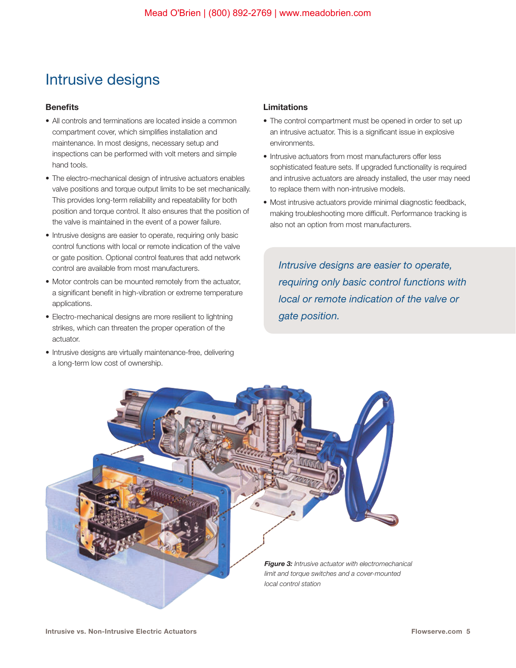## Intrusive designs

#### **Benefits**

- All controls and terminations are located inside a common compartment cover, which simplifies installation and maintenance. In most designs, necessary setup and inspections can be performed with volt meters and simple hand tools.
- The electro-mechanical design of intrusive actuators enables valve positions and torque output limits to be set mechanically. This provides long-term reliability and repeatability for both position and torque control. It also ensures that the position of the valve is maintained in the event of a power failure.
- Intrusive designs are easier to operate, requiring only basic control functions with local or remote indication of the valve or gate position. Optional control features that add network control are available from most manufacturers.
- Motor controls can be mounted remotely from the actuator, a significant benefit in high-vibration or extreme temperature applications.
- Electro-mechanical designs are more resilient to lightning strikes, which can threaten the proper operation of the actuator.
- Intrusive designs are virtually maintenance-free, delivering a long-term low cost of ownership.

#### Limitations

- The control compartment must be opened in order to set up an intrusive actuator. This is a significant issue in explosive environments.
- Intrusive actuators from most manufacturers offer less sophisticated feature sets. If upgraded functionality is required and intrusive actuators are already installed, the user may need to replace them with non-intrusive models.
- Most intrusive actuators provide minimal diagnostic feedback, making troubleshooting more difficult. Performance tracking is also not an option from most manufacturers.

*Intrusive designs are easier to operate, requiring only basic control functions with local or remote indication of the valve or gate position.*

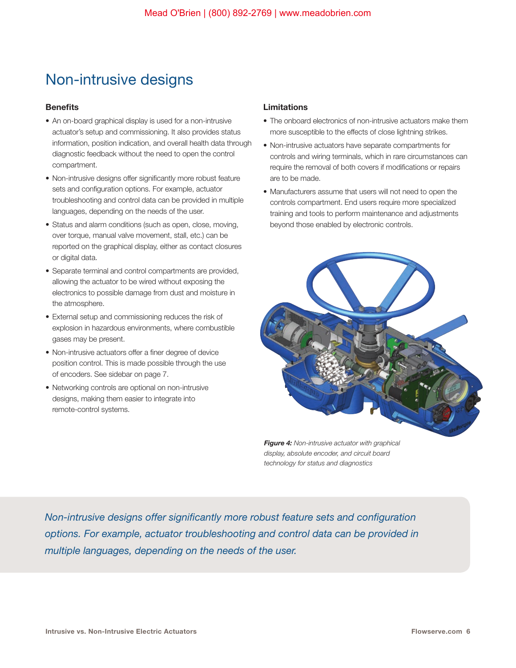# Non-intrusive designs

#### **Benefits**

- An on-board graphical display is used for a non-intrusive actuator's setup and commissioning. It also provides status information, position indication, and overall health data through diagnostic feedback without the need to open the control compartment.
- Non-intrusive designs offer significantly more robust feature sets and configuration options. For example, actuator troubleshooting and control data can be provided in multiple languages, depending on the needs of the user.
- Status and alarm conditions (such as open, close, moving, over torque, manual valve movement, stall, etc.) can be reported on the graphical display, either as contact closures or digital data.
- Separate terminal and control compartments are provided, allowing the actuator to be wired without exposing the electronics to possible damage from dust and moisture in the atmosphere.
- External setup and commissioning reduces the risk of explosion in hazardous environments, where combustible gases may be present.
- Non-intrusive actuators offer a finer degree of device position control. This is made possible through the use of encoders. See sidebar on page 7.
- Networking controls are optional on non-intrusive designs, making them easier to integrate into remote-control systems.

#### Limitations

- The onboard electronics of non-intrusive actuators make them more susceptible to the effects of close lightning strikes.
- Non-intrusive actuators have separate compartments for controls and wiring terminals, which in rare circumstances can require the removal of both covers if modifications or repairs are to be made.
- Manufacturers assume that users will not need to open the controls compartment. End users require more specialized training and tools to perform maintenance and adjustments beyond those enabled by electronic controls.



*Figure 4: Non-intrusive actuator with graphical display, absolute encoder, and circuit board technology for status and diagnostics*

*Non-intrusive designs offer significantly more robust feature sets and configuration options. For example, actuator troubleshooting and control data can be provided in multiple languages, depending on the needs of the user.*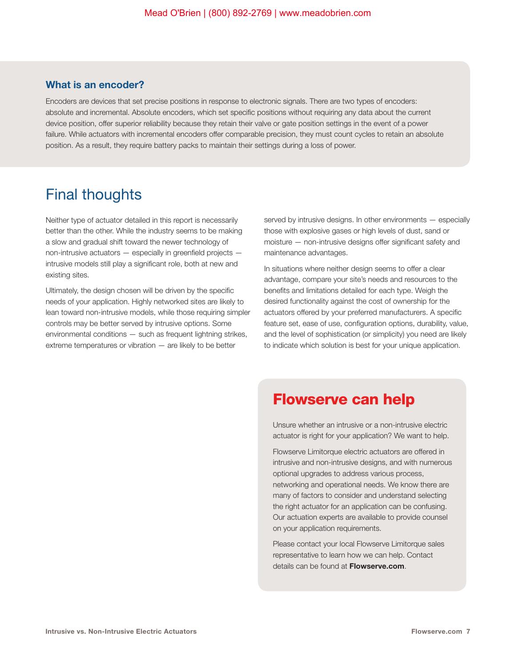### What is an encoder?

Encoders are devices that set precise positions in response to electronic signals. There are two types of encoders: absolute and incremental. Absolute encoders, which set specific positions without requiring any data about the current device position, offer superior reliability because they retain their valve or gate position settings in the event of a power failure. While actuators with incremental encoders offer comparable precision, they must count cycles to retain an absolute position. As a result, they require battery packs to maintain their settings during a loss of power.

### Final thoughts

Neither type of actuator detailed in this report is necessarily better than the other. While the industry seems to be making a slow and gradual shift toward the newer technology of non-intrusive actuators — especially in greenfield projects intrusive models still play a significant role, both at new and existing sites.

Ultimately, the design chosen will be driven by the specific needs of your application. Highly networked sites are likely to lean toward non-intrusive models, while those requiring simpler controls may be better served by intrusive options. Some environmental conditions — such as frequent lightning strikes, extreme temperatures or vibration — are likely to be better

served by intrusive designs. In other environments — especially those with explosive gases or high levels of dust, sand or moisture — non-intrusive designs offer significant safety and maintenance advantages.

In situations where neither design seems to offer a clear advantage, compare your site's needs and resources to the benefits and limitations detailed for each type. Weigh the desired functionality against the cost of ownership for the actuators offered by your preferred manufacturers. A specific feature set, ease of use, configuration options, durability, value, and the level of sophistication (or simplicity) you need are likely to indicate which solution is best for your unique application.

### Flowserve can help

Unsure whether an intrusive or a non-intrusive electric actuator is right for your application? We want to help.

Flowserve Limitorque electric actuators are offered in intrusive and non-intrusive designs, and with numerous optional upgrades to address various process, networking and operational needs. We know there are many of factors to consider and understand selecting the right actuator for an application can be confusing. Our actuation experts are available to provide counsel on your application requirements.

Please contact your local Flowserve Limitorque sales representative to learn how we can help. Contact details can be found at **Flowserve.com**.